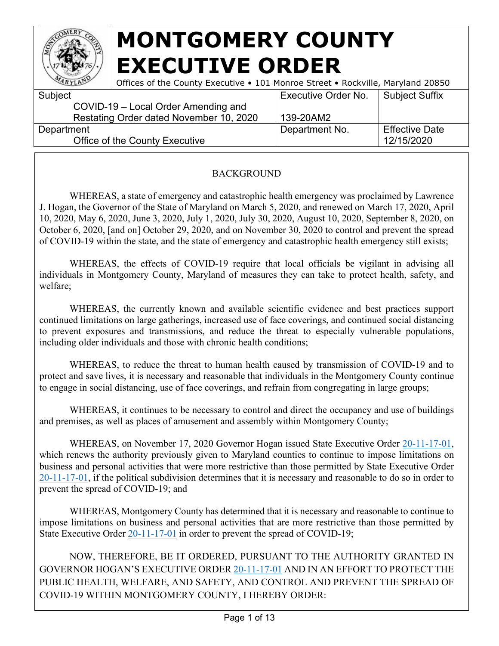

| ARYLAN     | Offices of the County Executive • 101 Monroe Street • Rockville, Maryland 20850 |                            |                       |
|------------|---------------------------------------------------------------------------------|----------------------------|-----------------------|
| Subject    |                                                                                 | <b>Executive Order No.</b> | <b>Subject Suffix</b> |
|            | COVID-19 - Local Order Amending and                                             |                            |                       |
|            | Restating Order dated November 10, 2020                                         | 139-20AM2                  |                       |
| Department |                                                                                 | Department No.             | <b>Effective Date</b> |
|            | Office of the County Executive                                                  |                            | 12/15/2020            |
|            |                                                                                 |                            |                       |

#### BACKGROUND

WHEREAS, a state of emergency and catastrophic health emergency was proclaimed by Lawrence J. Hogan, the Governor of the State of Maryland on March 5, 2020, and renewed on March 17, 2020, April 10, 2020, May 6, 2020, June 3, 2020, July 1, 2020, July 30, 2020, August 10, 2020, September 8, 2020, on October 6, 2020, [and on] October 29, 2020, and on November 30, 2020 to control and prevent the spread of COVID-19 within the state, and the state of emergency and catastrophic health emergency still exists;

WHEREAS, the effects of COVID-19 require that local officials be vigilant in advising all individuals in Montgomery County, Maryland of measures they can take to protect health, safety, and welfare;

WHEREAS, the currently known and available scientific evidence and best practices support continued limitations on large gatherings, increased use of face coverings, and continued social distancing to prevent exposures and transmissions, and reduce the threat to especially vulnerable populations, including older individuals and those with chronic health conditions;

WHEREAS, to reduce the threat to human health caused by transmission of COVID-19 and to protect and save lives, it is necessary and reasonable that individuals in the Montgomery County continue to engage in social distancing, use of face coverings, and refrain from congregating in large groups;

WHEREAS, it continues to be necessary to control and direct the occupancy and use of buildings and premises, as well as places of amusement and assembly within Montgomery County;

WHEREAS, on November 17, 2020 Governor Hogan issued State Executive Order [20-11-17-01,](https://governor.maryland.gov/wp-content/uploads/2020/11/Order-20-11-17-01.pdf) which renews the authority previously given to Maryland counties to continue to impose limitations on business and personal activities that were more restrictive than those permitted by State Executive Order [20-11-17-01,](https://governor.maryland.gov/wp-content/uploads/2020/11/Order-20-11-17-01.pdf) if the political subdivision determines that it is necessary and reasonable to do so in order to prevent the spread of COVID-19; and

WHEREAS, Montgomery County has determined that it is necessary and reasonable to continue to impose limitations on business and personal activities that are more restrictive than those permitted by State Executive Order  $20-11-17-01$  in order to prevent the spread of COVID-19;

NOW, THEREFORE, BE IT ORDERED, PURSUANT TO THE AUTHORITY GRANTED IN GOVERNOR HOGAN'S EXECUTIVE ORDER [20-11-17-01](https://governor.maryland.gov/wp-content/uploads/2020/11/Order-20-11-17-01.pdf) AND IN AN EFFORT TO PROTECT THE PUBLIC HEALTH, WELFARE, AND SAFETY, AND CONTROL AND PREVENT THE SPREAD OF COVID-19 WITHIN MONTGOMERY COUNTY, I HEREBY ORDER: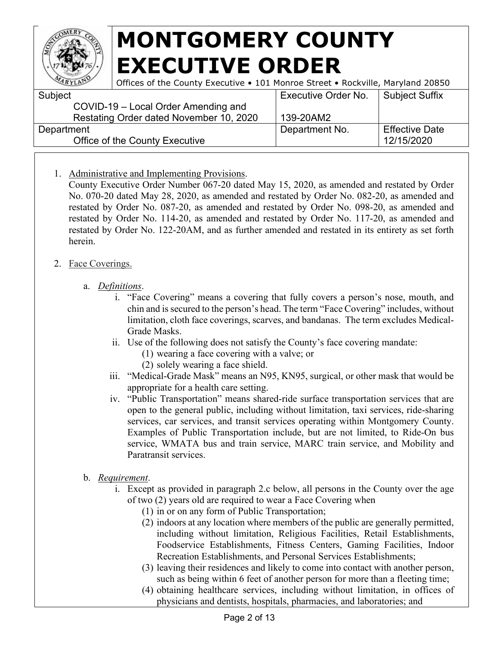

| ARYLANT    | Offices of the County Executive • 101 Monroe Street • Rockville, Maryland 20850 |                            |                       |
|------------|---------------------------------------------------------------------------------|----------------------------|-----------------------|
| Subject    |                                                                                 | <b>Executive Order No.</b> | <b>Subject Suffix</b> |
|            | COVID-19 – Local Order Amending and                                             |                            |                       |
|            | Restating Order dated November 10, 2020                                         | 139-20AM2                  |                       |
| Department |                                                                                 | Department No.             | <b>Effective Date</b> |
|            | Office of the County Executive                                                  |                            | 12/15/2020            |

1. Administrative and Implementing Provisions.

County Executive Order Number 067-20 dated May 15, 2020, as amended and restated by Order No. 070-20 dated May 28, 2020, as amended and restated by Order No. 082-20, as amended and restated by Order No. 087-20, as amended and restated by Order No. 098-20, as amended and restated by Order No. 114-20, as amended and restated by Order No. 117-20, as amended and restated by Order No. 122-20AM, and as further amended and restated in its entirety as set forth herein.

#### 2. Face Coverings.

#### a. *Definitions*.

- i. "Face Covering" means a covering that fully covers a person's nose, mouth, and chin and is secured to the person's head. The term "Face Covering" includes, without limitation, cloth face coverings, scarves, and bandanas. The term excludes Medical-Grade Masks.
- ii. Use of the following does not satisfy the County's face covering mandate:
	- (1) wearing a face covering with a valve; or
	- (2) solely wearing a face shield.
- iii. "Medical-Grade Mask" means an N95, KN95, surgical, or other mask that would be appropriate for a health care setting.
- iv. "Public Transportation" means shared-ride surface transportation services that are open to the general public, including without limitation, taxi services, ride-sharing services, car services, and transit services operating within Montgomery County. Examples of Public Transportation include, but are not limited, to Ride-On bus service, WMATA bus and train service, MARC train service, and Mobility and Paratransit services.
- b. *Requirement*.
	- i. Except as provided in paragraph 2.c below, all persons in the County over the age of two (2) years old are required to wear a Face Covering when
		- (1) in or on any form of Public Transportation;
		- (2) indoors at any location where members of the public are generally permitted, including without limitation, Religious Facilities, Retail Establishments, Foodservice Establishments, Fitness Centers, Gaming Facilities, Indoor Recreation Establishments, and Personal Services Establishments;
		- (3) leaving their residences and likely to come into contact with another person, such as being within 6 feet of another person for more than a fleeting time;
		- (4) obtaining healthcare services, including without limitation, in offices of physicians and dentists, hospitals, pharmacies, and laboratories; and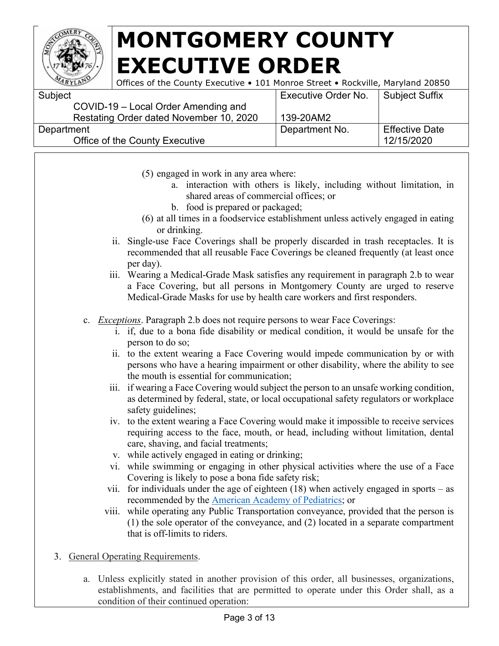

| Subject                                 | <b>Executive Order No.</b> | Subject Suffix        |
|-----------------------------------------|----------------------------|-----------------------|
| COVID-19 – Local Order Amending and     |                            |                       |
| Restating Order dated November 10, 2020 | 139-20AM2                  |                       |
| Department                              | Department No.             | <b>Effective Date</b> |
| Office of the County Executive          |                            | 12/15/2020            |
|                                         |                            |                       |

- (5) engaged in work in any area where:
	- a. interaction with others is likely, including without limitation, in shared areas of commercial offices; or
	- b. food is prepared or packaged;
- (6) at all times in a foodservice establishment unless actively engaged in eating or drinking.
- ii. Single-use Face Coverings shall be properly discarded in trash receptacles. It is recommended that all reusable Face Coverings be cleaned frequently (at least once per day).
- iii. Wearing a Medical-Grade Mask satisfies any requirement in paragraph 2.b to wear a Face Covering, but all persons in Montgomery County are urged to reserve Medical-Grade Masks for use by health care workers and first responders.
- c. *Exceptions*. Paragraph 2.b does not require persons to wear Face Coverings:
	- i. if, due to a bona fide disability or medical condition, it would be unsafe for the person to do so;
	- ii. to the extent wearing a Face Covering would impede communication by or with persons who have a hearing impairment or other disability, where the ability to see the mouth is essential for communication;
	- iii. if wearing a Face Covering would subject the person to an unsafe working condition, as determined by federal, state, or local occupational safety regulators or workplace safety guidelines;
	- iv. to the extent wearing a Face Covering would make it impossible to receive services requiring access to the face, mouth, or head, including without limitation, dental care, shaving, and facial treatments;
	- v. while actively engaged in eating or drinking;
	- vi. while swimming or engaging in other physical activities where the use of a Face Covering is likely to pose a bona fide safety risk;
	- vii. for individuals under the age of eighteen  $(18)$  when actively engaged in sports as recommended by the [American Academy of Pediatrics;](https://www.aappublications.org/news/2020/07/22/sportsguidance072220) or
	- viii. while operating any Public Transportation conveyance, provided that the person is (1) the sole operator of the conveyance, and (2) located in a separate compartment that is off-limits to riders.
- 3. General Operating Requirements.
	- a. Unless explicitly stated in another provision of this order, all businesses, organizations, establishments, and facilities that are permitted to operate under this Order shall, as a condition of their continued operation: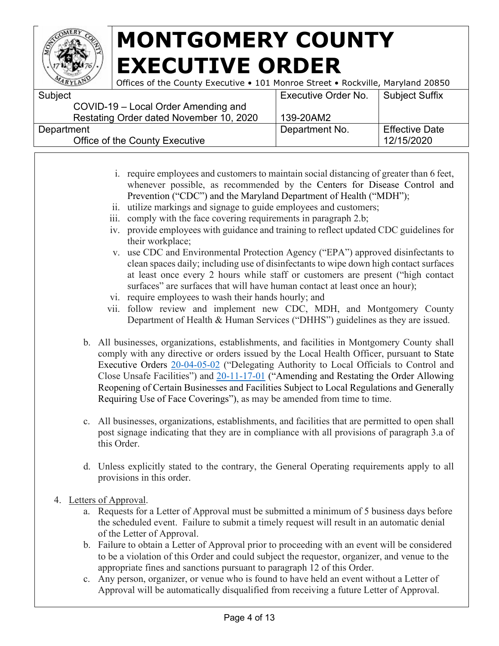

| Subject                                 | <b>Executive Order No.</b> | Subject Suffix        |
|-----------------------------------------|----------------------------|-----------------------|
| COVID-19 - Local Order Amending and     |                            |                       |
| Restating Order dated November 10, 2020 | 139-20AM2                  |                       |
| Department                              | Department No.             | <b>Effective Date</b> |
| Office of the County Executive          |                            | 12/15/2020            |
|                                         |                            |                       |

- i. require employees and customers to maintain social distancing of greater than 6 feet, whenever possible, as recommended by the Centers for Disease Control and Prevention ("CDC") and the Maryland Department of Health ("MDH");
- ii. utilize markings and signage to guide employees and customers;
- iii. comply with the face covering requirements in paragraph 2.b;
- iv. provide employees with guidance and training to reflect updated CDC guidelines for their workplace;
- v. use CDC and Environmental Protection Agency ("EPA") approved disinfectants to clean spaces daily; including use of disinfectants to wipe down high contact surfaces at least once every 2 hours while staff or customers are present ("high contact surfaces" are surfaces that will have human contact at least once an hour);
- vi. require employees to wash their hands hourly; and
- vii. follow review and implement new CDC, MDH, and Montgomery County Department of Health & Human Services ("DHHS") guidelines as they are issued.
- b. All businesses, organizations, establishments, and facilities in Montgomery County shall comply with any directive or orders issued by the Local Health Officer, pursuant to State Executive Orders [20-04-05-02](https://governor.maryland.gov/wp-content/uploads/2020/04/Delegation-to-County-Health-Officials-4.5.20.pdf) ("Delegating Authority to Local Officials to Control and Close Unsafe Facilities") and [20-11-17-01](https://governor.maryland.gov/wp-content/uploads/2020/11/Order-20-11-17-01.pdf) ("Amending and Restating the Order Allowing Reopening of Certain Businesses and Facilities Subject to Local Regulations and Generally Requiring Use of Face Coverings"), as may be amended from time to time.
- c. All businesses, organizations, establishments, and facilities that are permitted to open shall post signage indicating that they are in compliance with all provisions of paragraph 3.a of this Order.
- d. Unless explicitly stated to the contrary, the General Operating requirements apply to all provisions in this order.
- 4. Letters of Approval.
	- a. Requests for a Letter of Approval must be submitted a minimum of 5 business days before the scheduled event. Failure to submit a timely request will result in an automatic denial of the Letter of Approval.
	- b. Failure to obtain a Letter of Approval prior to proceeding with an event will be considered to be a violation of this Order and could subject the requestor, organizer, and venue to the appropriate fines and sanctions pursuant to paragraph 12 of this Order.
	- c. Any person, organizer, or venue who is found to have held an event without a Letter of Approval will be automatically disqualified from receiving a future Letter of Approval.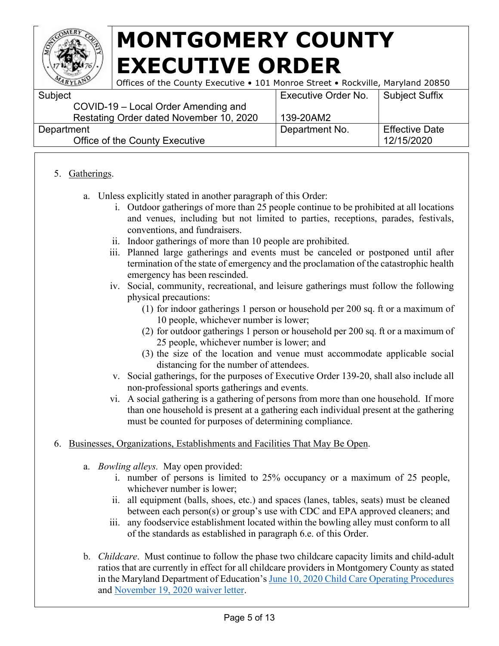

Offices of the County Executive • 101 Monroe Street • Rockville, Maryland 20850

| Executive Order No. | Subject Suffix        |
|---------------------|-----------------------|
|                     |                       |
| 139-20AM2           |                       |
| Department No.      | <b>Effective Date</b> |
|                     | 12/15/2020            |
|                     |                       |

#### 5. Gatherings.

- a. Unless explicitly stated in another paragraph of this Order:
	- i. Outdoor gatherings of more than 25 people continue to be prohibited at all locations and venues, including but not limited to parties, receptions, parades, festivals, conventions, and fundraisers.
	- ii. Indoor gatherings of more than 10 people are prohibited.
	- iii. Planned large gatherings and events must be canceled or postponed until after termination of the state of emergency and the proclamation of the catastrophic health emergency has been rescinded.
	- iv. Social, community, recreational, and leisure gatherings must follow the following physical precautions:
		- (1) for indoor gatherings 1 person or household per 200 sq. ft or a maximum of 10 people, whichever number is lower;
		- (2) for outdoor gatherings 1 person or household per 200 sq. ft or a maximum of 25 people, whichever number is lower; and
		- (3) the size of the location and venue must accommodate applicable social distancing for the number of attendees.
	- v. Social gatherings, for the purposes of Executive Order 139-20, shall also include all non-professional sports gatherings and events.
	- vi. A social gathering is a gathering of persons from more than one household. If more than one household is present at a gathering each individual present at the gathering must be counted for purposes of determining compliance.
- 6. Businesses, Organizations, Establishments and Facilities That May Be Open.
	- a. *Bowling alleys.* May open provided:
		- i. number of persons is limited to 25% occupancy or a maximum of 25 people, whichever number is lower;
		- ii. all equipment (balls, shoes, etc.) and spaces (lanes, tables, seats) must be cleaned between each person(s) or group's use with CDC and EPA approved cleaners; and
		- iii. any foodservice establishment located within the bowling alley must conform to all of the standards as established in paragraph 6.e. of this Order.
	- b. *Childcare*. Must continue to follow the phase two childcare capacity limits and child-adult ratios that are currently in effect for all childcare providers in Montgomery County as stated in the Maryland Department of Education's [June 10, 2020 Child Care Operating Procedures](https://www.montgomerycountymd.gov/covid19/Resources/Files/reopening/child-care-phase-2-state-letter.pdf) and [November 19, 2020 waiver letter.](https://www.montgomerycountymd.gov/covid19/reopening/requirements/childcare.html)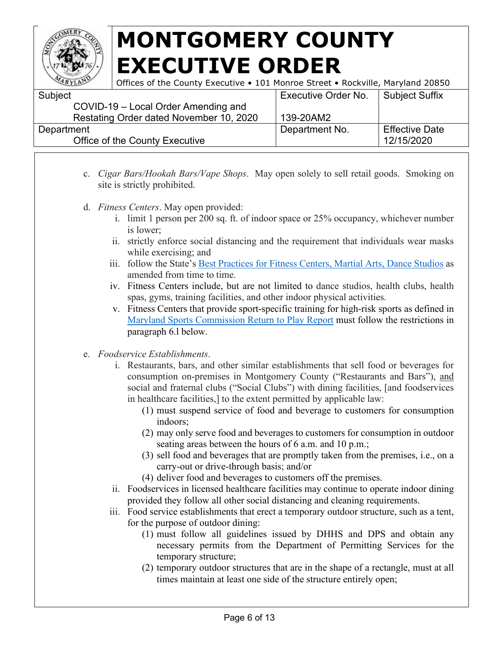

| ARYLANT    | Offices of the County Executive • 101 Monroe Street • Rockville, Maryland 20850 |                            |                       |
|------------|---------------------------------------------------------------------------------|----------------------------|-----------------------|
| Subject    |                                                                                 | <b>Executive Order No.</b> | Subject Suffix        |
|            | COVID-19 – Local Order Amending and                                             |                            |                       |
|            | Restating Order dated November 10, 2020                                         | 139-20AM2                  |                       |
| Department |                                                                                 | Department No.             | <b>Effective Date</b> |
|            | Office of the County Executive                                                  |                            | 12/15/2020            |

- c. *Cigar Bars/Hookah Bars/Vape Shops*. May open solely to sell retail goods. Smoking on site is strictly prohibited.
- d. *Fitness Centers*. May open provided:
	- i. limit 1 person per 200 sq. ft. of indoor space or 25% occupancy, whichever number is lower;
	- ii. strictly enforce social distancing and the requirement that individuals wear masks while exercising; and
	- iii. follow the State's [Best Practices for Fitness Centers, Martial Arts, Dance](https://drive.google.com/file/d/1CXRw_ERNJoKxzdj-am1R0Xn5wf_Hf3Q5/view) [Studios](https://drive.google.com/file/d/1CXRw_ERNJoKxzdj-am1R0Xn5wf_Hf3Q5/view) as amended from time to time.
	- iv. Fitness Centers include, but are not limited to dance studios, health clubs, health spas, gyms, training facilities, and other indoor physical activities.
	- v. Fitness Centers that provide sport-specific training for high-risk sports as defined in [Maryland Sports Commission Return to Play Report](https://marylandsports.us/basic-page/return-play-youth-amateur-sports-resource-center) must follow the restrictions in paragraph 6.l below.
- e. *Foodservice Establishments*.
	- i. Restaurants, bars, and other similar establishments that sell food or beverages for consumption on-premises in Montgomery County ("Restaurants and Bars"), and social and fraternal clubs ("Social Clubs") with dining facilities, [and foodservices in healthcare facilities,] to the extent permitted by applicable law:
		- (1) must suspend service of food and beverage to customers for consumption indoors;
		- (2) may only serve food and beverages to customers for consumption in outdoor seating areas between the hours of 6 a.m. and 10 p.m.;
		- (3) sell food and beverages that are promptly taken from the premises, i.e., on a carry-out or drive-through basis; and/or
		- (4) deliver food and beverages to customers off the premises.
	- ii. Foodservices in licensed healthcare facilities may continue to operate indoor dining provided they follow all other social distancing and cleaning requirements.
	- iii. Food service establishments that erect a temporary outdoor structure, such as a tent, for the purpose of outdoor dining:
		- (1) must follow all guidelines issued by DHHS and DPS and obtain any necessary permits from the Department of Permitting Services for the temporary structure;
		- (2) temporary outdoor structures that are in the shape of a rectangle, must at all times maintain at least one side of the structure entirely open;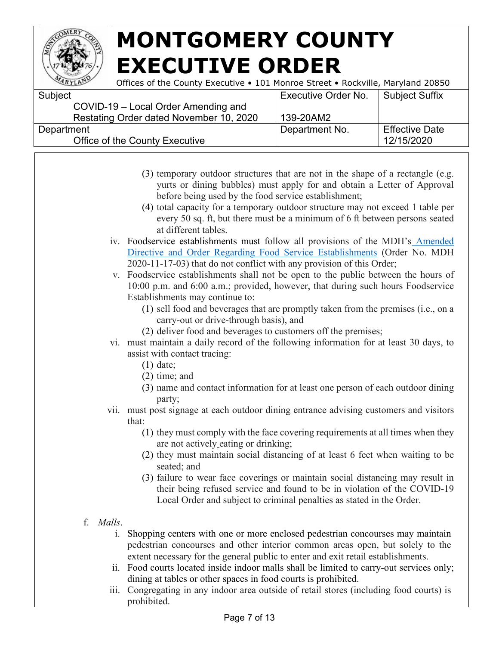

| <b>Executive Order No.</b> | Subject Suffix        |
|----------------------------|-----------------------|
|                            |                       |
| 139-20AM2                  |                       |
| Department No.             | <b>Effective Date</b> |
|                            | 12/15/2020            |
|                            |                       |

- (3) temporary outdoor structures that are not in the shape of a rectangle (e.g. yurts or dining bubbles) must apply for and obtain a Letter of Approval before being used by the food service establishment;
- (4) total capacity for a temporary outdoor structure may not exceed 1 table per every 50 sq. ft, but there must be a minimum of 6 ft between persons seated at different tables.
- iv. Foodservice establishments must follow all provisions of the MDH's [Amended](https://phpa.health.maryland.gov/Documents/2020.11.17.03%20-%20MDH%20Order%20-%20Amended%20Food%20Service%20Establishments%20Order%20(Food%20Courts).pdf)  [Directive and Order Regarding Food Service Establishments](https://phpa.health.maryland.gov/Documents/2020.11.17.03%20-%20MDH%20Order%20-%20Amended%20Food%20Service%20Establishments%20Order%20(Food%20Courts).pdf) (Order No. MDH 2020-11-17-03) that do not conflict with any provision of this Order;
- v. Foodservice establishments shall not be open to the public between the hours of 10:00 p.m. and 6:00 a.m.; provided, however, that during such hours Foodservice Establishments may continue to:
	- (1) sell food and beverages that are promptly taken from the premises (i.e., on a carry-out or drive-through basis), and
	- (2) deliver food and beverages to customers off the premises;
- vi. must maintain a daily record of the following information for at least 30 days, to assist with contact tracing:
	- (1) date;
	- (2) time; and
	- (3) name and contact information for at least one person of each outdoor dining party;
- vii. must post signage at each outdoor dining entrance advising customers and visitors that:
	- (1) they must comply with the face covering requirements at all times when they are not actively eating or drinking;
	- (2) they must maintain social distancing of at least 6 feet when waiting to be seated; and
	- (3) failure to wear face coverings or maintain social distancing may result in their being refused service and found to be in violation of the COVID-19 Local Order and subject to criminal penalties as stated in the Order.
- f. *Malls*.
	- i. Shopping centers with one or more enclosed pedestrian concourses may maintain pedestrian concourses and other interior common areas open, but solely to the extent necessary for the general public to enter and exit retail establishments.
	- ii. Food courts located inside indoor malls shall be limited to carry-out services only; dining at tables or other spaces in food courts is prohibited.
	- iii. Congregating in any indoor area outside of retail stores (including food courts) is prohibited.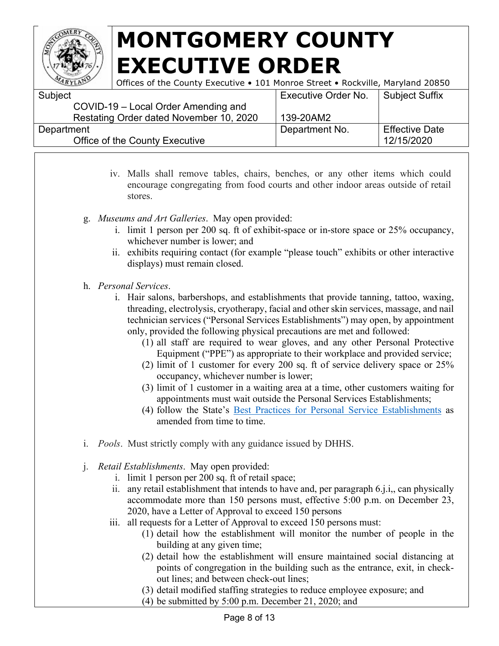

| Subject                                 | Executive Order No. | Subject Suffix        |
|-----------------------------------------|---------------------|-----------------------|
| COVID-19 – Local Order Amending and     |                     |                       |
| Restating Order dated November 10, 2020 | 139-20AM2           |                       |
| Department                              | Department No.      | <b>Effective Date</b> |
| Office of the County Executive          |                     | 12/15/2020            |
|                                         |                     |                       |

- iv. Malls shall remove tables, chairs, benches, or any other items which could encourage congregating from food courts and other indoor areas outside of retail stores.
- g. *Museums and Art Galleries*. May open provided:
	- i. limit 1 person per 200 sq. ft of exhibit-space or in-store space or 25% occupancy, whichever number is lower; and
	- ii. exhibits requiring contact (for example "please touch" exhibits or other interactive displays) must remain closed.
- h. *Personal Services*.
	- i. Hair salons, barbershops, and establishments that provide tanning, tattoo, waxing, threading, electrolysis, cryotherapy, facial and other skin services, massage, and nail technician services ("Personal Services Establishments") may open, by appointment only, provided the following physical precautions are met and followed:
		- (1) all staff are required to wear gloves, and any other Personal Protective Equipment ("PPE") as appropriate to their workplace and provided service;
		- (2) limit of 1 customer for every 200 sq. ft of service delivery space or 25% occupancy, whichever number is lower;
		- (3) limit of 1 customer in a waiting area at a time, other customers waiting for appointments must wait outside the Personal Services Establishments;
		- (4) follow the State's [Best Practices for Personal Service Establishments](https://commerce.maryland.gov/Documents/BusinessResource/Personal-Services-COVID-19-Best-Practices.pdf) as amended from time to time.
- i. *Pools*. Must strictly comply with any guidance issued by DHHS.
- j. *Retail Establishments*. May open provided:
	- i. limit 1 person per 200 sq. ft of retail space;
	- ii. any retail establishment that intends to have and, per paragraph 6.j.i,, can physically accommodate more than 150 persons must, effective 5:00 p.m. on December 23, 2020, have a Letter of Approval to exceed 150 persons
	- iii. all requests for a Letter of Approval to exceed 150 persons must:
		- (1) detail how the establishment will monitor the number of people in the building at any given time;
		- (2) detail how the establishment will ensure maintained social distancing at points of congregation in the building such as the entrance, exit, in checkout lines; and between check-out lines;
		- (3) detail modified staffing strategies to reduce employee exposure; and
		- (4) be submitted by 5:00 p.m. December 21, 2020; and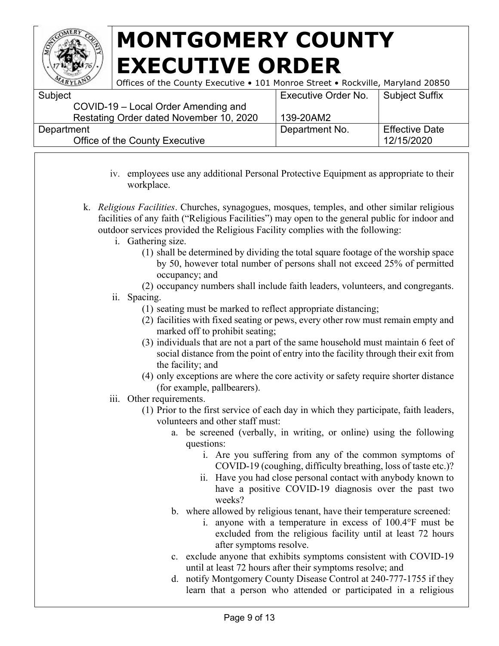

| <b>Executive Order No.</b> | Subject Suffix        |
|----------------------------|-----------------------|
|                            |                       |
| 139-20AM2                  |                       |
| Department No.             | <b>Effective Date</b> |
|                            | 12/15/2020            |
|                            |                       |

- iv. employees use any additional Personal Protective Equipment as appropriate to their workplace.
- k. *Religious Facilities*. Churches, synagogues, mosques, temples, and other similar religious facilities of any faith ("Religious Facilities") may open to the general public for indoor and outdoor services provided the Religious Facility complies with the following:
	- i. Gathering size.
		- (1) shall be determined by dividing the total square footage of the worship space by 50, however total number of persons shall not exceed 25% of permitted occupancy; and
		- (2) occupancy numbers shall include faith leaders, volunteers, and congregants.
	- ii. Spacing.
		- (1) seating must be marked to reflect appropriate distancing;
		- (2) facilities with fixed seating or pews, every other row must remain empty and marked off to prohibit seating;
		- (3) individuals that are not a part of the same household must maintain 6 feet of social distance from the point of entry into the facility through their exit from the facility; and
		- (4) only exceptions are where the core activity or safety require shorter distance (for example, pallbearers).
	- iii. Other requirements.
		- (1) Prior to the first service of each day in which they participate, faith leaders, volunteers and other staff must:
			- a. be screened (verbally, in writing, or online) using the following questions:
				- i. Are you suffering from any of the common symptoms of COVID-19 (coughing, difficulty breathing, loss of taste etc.)?
				- ii. Have you had close personal contact with anybody known to have a positive COVID-19 diagnosis over the past two weeks?
			- b. where allowed by religious tenant, have their temperature screened:
				- i. anyone with a temperature in excess of 100.4°F must be excluded from the religious facility until at least 72 hours after symptoms resolve.
			- c. exclude anyone that exhibits symptoms consistent with COVID-19 until at least 72 hours after their symptoms resolve; and
			- d. notify Montgomery County Disease Control at 240-777-1755 if they learn that a person who attended or participated in a religious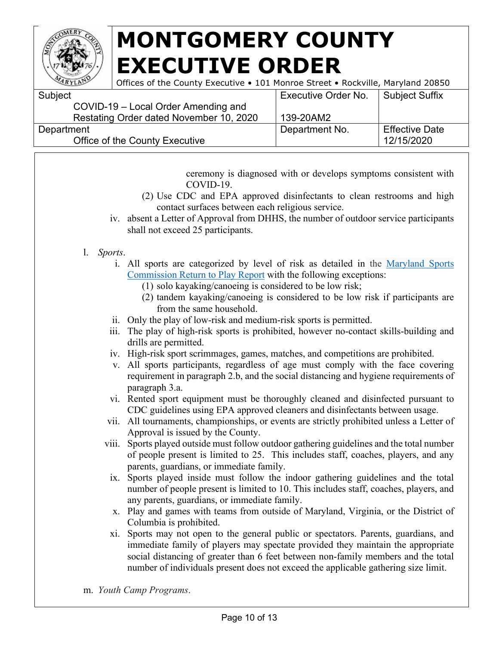

**Subject** 

# **MONTGOMERY COUNTY EXECUTIVE ORDER**

| LAN | Offices of the County Executive • 101 Monroe Street • Rockville, Maryland 20850 |                                      |  |
|-----|---------------------------------------------------------------------------------|--------------------------------------|--|
|     |                                                                                 | Executive Order No.   Subject Suffix |  |

| <b>OUNIVUL</b>                          | 2000           |                       |
|-----------------------------------------|----------------|-----------------------|
| COVID-19 – Local Order Amending and     |                |                       |
| Restating Order dated November 10, 2020 | 139-20AM2      |                       |
| Department                              | Department No. | <b>Effective Date</b> |
| Office of the County Executive          |                | 12/15/2020            |
|                                         |                |                       |

ceremony is diagnosed with or develops symptoms consistent with COVID-19.

- (2) Use CDC and EPA approved disinfectants to clean restrooms and high contact surfaces between each religious service.
- iv. absent a Letter of Approval from DHHS, the number of outdoor service participants shall not exceed 25 participants.

#### l. *Sports*.

- i. All sports are categorized by level of risk as detailed in the [Maryland Sports](https://marylandsports.us/basic-page/return-play-youth-amateur-sports-resource-center)  [Commission Return to Play Report](https://marylandsports.us/basic-page/return-play-youth-amateur-sports-resource-center) with the following exceptions:
	- (1) solo kayaking/canoeing is considered to be low risk;
	- (2) tandem kayaking/canoeing is considered to be low risk if participants are from the same household.
- ii. Only the play of low-risk and medium-risk sports is permitted.
- iii. The play of high-risk sports is prohibited, however no-contact skills-building and drills are permitted.
- iv. High-risk sport scrimmages, games, matches, and competitions are prohibited.
- v. All sports participants, regardless of age must comply with the face covering requirement in paragraph 2.b, and the social distancing and hygiene requirements of paragraph 3.a.
- vi. Rented sport equipment must be thoroughly cleaned and disinfected pursuant to CDC guidelines using EPA approved cleaners and disinfectants between usage.
- vii. All tournaments, championships, or events are strictly prohibited unless a Letter of Approval is issued by the County.
- viii. Sports played outside must follow outdoor gathering guidelines and the total number of people present is limited to 25. This includes staff, coaches, players, and any parents, guardians, or immediate family.
- ix. Sports played inside must follow the indoor gathering guidelines and the total number of people present is limited to 10. This includes staff, coaches, players, and any parents, guardians, or immediate family.
- x. Play and games with teams from outside of Maryland, Virginia, or the District of Columbia is prohibited.
- xi. Sports may not open to the general public or spectators. Parents, guardians, and immediate family of players may spectate provided they maintain the appropriate social distancing of greater than 6 feet between non-family members and the total number of individuals present does not exceed the applicable gathering size limit.

m. *Youth Camp Programs*.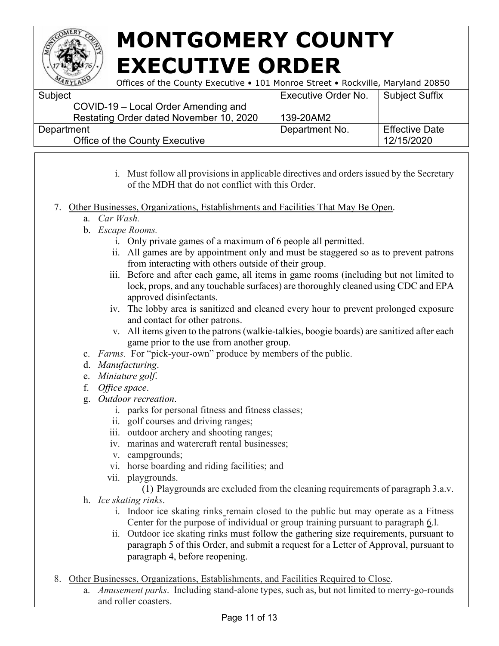

| Subject                                 | <b>Executive Order No.</b> | Subject Suffix        |
|-----------------------------------------|----------------------------|-----------------------|
| COVID-19 - Local Order Amending and     |                            |                       |
| Restating Order dated November 10, 2020 | 139-20AM2                  |                       |
| Department                              | Department No.             | <b>Effective Date</b> |
| Office of the County Executive          |                            | 12/15/2020            |
|                                         |                            |                       |

- i. Must follow all provisions in applicable directives and orders issued by the Secretary of the MDH that do not conflict with this Order.
- 7. Other Businesses, Organizations, Establishments and Facilities That May Be Open.
	- a. *Car Wash.*
	- b. *Escape Rooms.* 
		- i. Only private games of a maximum of 6 people all permitted.
		- ii. All games are by appointment only and must be staggered so as to prevent patrons from interacting with others outside of their group.
		- iii. Before and after each game, all items in game rooms (including but not limited to lock, props, and any touchable surfaces) are thoroughly cleaned using CDC and EPA approved disinfectants.
		- iv. The lobby area is sanitized and cleaned every hour to prevent prolonged exposure and contact for other patrons.
		- v. All items given to the patrons (walkie-talkies, boogie boards) are sanitized after each game prior to the use from another group.
	- c. *Farms.* For "pick-your-own" produce by members of the public.
	- d. *Manufacturing*.
	- e. *Miniature golf*.
	- f. *Office space*.
	- g. *Outdoor recreation*.
		- i. parks for personal fitness and fitness classes;
		- ii. golf courses and driving ranges;
		- iii. outdoor archery and shooting ranges;
		- iv. marinas and watercraft rental businesses;
		- v. campgrounds;
		- vi. horse boarding and riding facilities; and
		- vii. playgrounds.
			- (1) Playgrounds are excluded from the cleaning requirements of paragraph 3.a.v.
	- h. *Ice skating rinks*.
		- i. Indoor ice skating rinks remain closed to the public but may operate as a Fitness Center for the purpose of individual or group training pursuant to paragraph 6.l.
		- ii. Outdoor ice skating rinks must follow the gathering size requirements, pursuant to paragraph 5 of this Order, and submit a request for a Letter of Approval, pursuant to paragraph 4, before reopening.
- 8. Other Businesses, Organizations, Establishments, and Facilities Required to Close.
	- a. *Amusement parks*. Including stand-alone types, such as, but not limited to merry-go-rounds and roller coasters.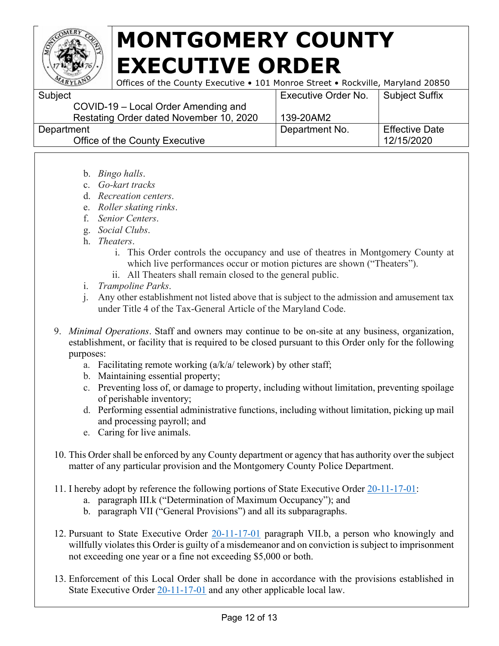

| Subject                                 | <b>Executive Order No.</b> | Subject Suffix        |
|-----------------------------------------|----------------------------|-----------------------|
| COVID-19 - Local Order Amending and     |                            |                       |
| Restating Order dated November 10, 2020 | 139-20AM2                  |                       |
| Department                              | Department No.             | <b>Effective Date</b> |
| Office of the County Executive          |                            | 12/15/2020            |
|                                         |                            |                       |

- b. *Bingo halls*.
- c. *Go-kart tracks*
- d. *Recreation centers*.
- e. *Roller skating rinks*.
- f. *Senior Centers*.
- g. *Social Clubs*.
- h. *Theaters*.
	- i. This Order controls the occupancy and use of theatres in Montgomery County at which live performances occur or motion pictures are shown ("Theaters").
	- ii. All Theaters shall remain closed to the general public.
- i. *Trampoline Parks*.
- j. Any other establishment not listed above that is subject to the admission and amusement tax under Title 4 of the Tax-General Article of the Maryland Code.
- 9. *Minimal Operations*. Staff and owners may continue to be on-site at any business, organization, establishment, or facility that is required to be closed pursuant to this Order only for the following purposes:
	- a. Facilitating remote working  $\left(\frac{a}{k/a}\right)$  telework) by other staff;
	- b. Maintaining essential property;
	- c. Preventing loss of, or damage to property, including without limitation, preventing spoilage of perishable inventory;
	- d. Performing essential administrative functions, including without limitation, picking up mail and processing payroll; and
	- e. Caring for live animals.
- 10. This Order shall be enforced by any County department or agency that has authority over the subject matter of any particular provision and the Montgomery County Police Department.
- 11. I hereby adopt by reference the following portions of State Executive Order [20-11-17-01:](https://governor.maryland.gov/wp-content/uploads/2020/11/Order-20-11-17-01.pdf)
	- a. paragraph III.k ("Determination of Maximum Occupancy"); and
	- b. paragraph VII ("General Provisions") and all its subparagraphs.
- 12. Pursuant to State Executive Order [20-11-17-01](https://governor.maryland.gov/wp-content/uploads/2020/11/Order-20-11-17-01.pdf) paragraph VII.b, a person who knowingly and willfully violates this Order is guilty of a misdemeanor and on conviction is subject to imprisonment not exceeding one year or a fine not exceeding \$5,000 or both.
- 13. Enforcement of this Local Order shall be done in accordance with the provisions established in State Executive Order [20-11-17-01](https://governor.maryland.gov/wp-content/uploads/2020/11/Order-20-11-17-01.pdf) and any other applicable local law.